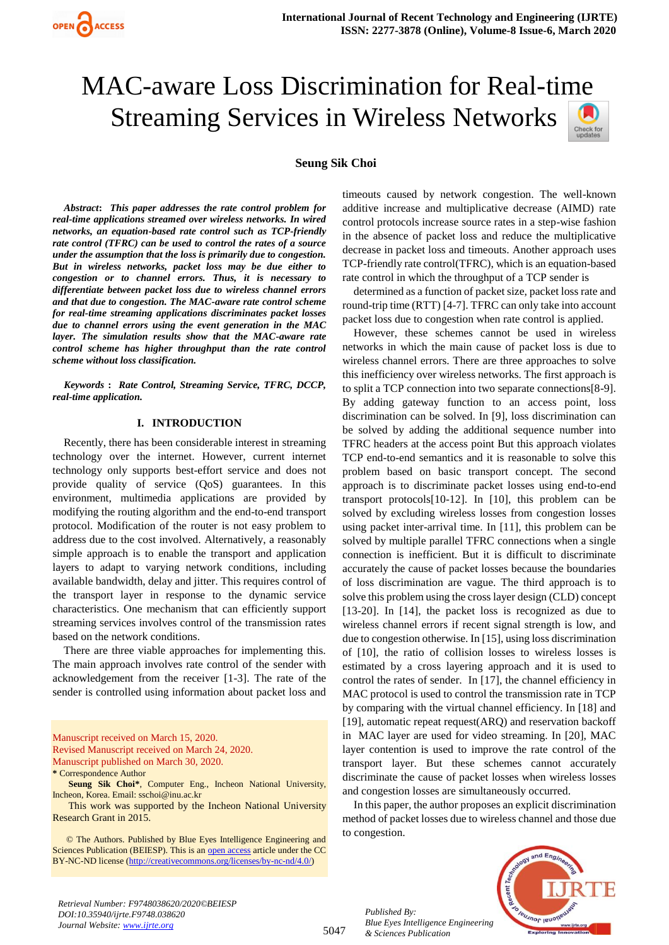

# MAC-aware Loss Discrimination for Real-time Streaming Services in Wireless Networks



## **Seung Sik Choi**

*Abstract***:** *This paper addresses the rate control problem for real-time applications streamed over wireless networks. In wired networks, an equation-based rate control such as TCP-friendly rate control (TFRC) can be used to control the rates of a source under the assumption that the loss is primarily due to congestion. But in wireless networks, packet loss may be due either to congestion or to channel errors. Thus, it is necessary to differentiate between packet loss due to wireless channel errors and that due to congestion. The MAC-aware rate control scheme for real-time streaming applications discriminates packet losses due to channel errors using the event generation in the MAC layer. The simulation results show that the MAC-aware rate control scheme has higher throughput than the rate control scheme without loss classification.*

*Keywords* **:** *Rate Control, Streaming Service, TFRC, DCCP, real-time application.* 

## **I. INTRODUCTION**

Recently, there has been considerable interest in streaming technology over the internet. However, current internet technology only supports best-effort service and does not provide quality of service (QoS) guarantees. In this environment, multimedia applications are provided by modifying the routing algorithm and the end-to-end transport protocol. Modification of the router is not easy problem to address due to the cost involved. Alternatively, a reasonably simple approach is to enable the transport and application layers to adapt to varying network conditions, including available bandwidth, delay and jitter. This requires control of the transport layer in response to the dynamic service characteristics. One mechanism that can efficiently support streaming services involves control of the transmission rates based on the network conditions.

There are three viable approaches for implementing this. The main approach involves rate control of the sender with acknowledgement from the receiver [1-3]. The rate of the sender is controlled using information about packet loss and

Manuscript received on March 15, 2020. Revised Manuscript received on March 24, 2020. Manuscript published on March 30, 2020. **\*** Correspondence Author

**Seung Sik Choi\***, Computer Eng., Incheon National University, Incheon, Korea. Email: sschoi@inu.ac.kr

This work was supported by the Incheon National University Research Grant in 2015.

 © The Authors. Published by Blue Eyes Intelligence Engineering and Sciences Publication (BEIESP). This is an [open access](https://www.openaccess.nl/en/open-publications) article under the CC BY-NC-ND license [\(http://creativecommons.org/licenses/by-nc-nd/4.0/\)](http://creativecommons.org/licenses/by-nc-nd/4.0/)

timeouts caused by network congestion. The well-known additive increase and multiplicative decrease (AIMD) rate control protocols increase source rates in a step-wise fashion in the absence of packet loss and reduce the multiplicative decrease in packet loss and timeouts. Another approach uses TCP-friendly rate control(TFRC), which is an equation-based rate control in which the throughput of a TCP sender is

determined as a function of packet size, packet loss rate and round-trip time (RTT) [4-7]. TFRC can only take into account packet loss due to congestion when rate control is applied.

However, these schemes cannot be used in wireless networks in which the main cause of packet loss is due to wireless channel errors. There are three approaches to solve this inefficiency over wireless networks. The first approach is to split a TCP connection into two separate connections[8-9]. By adding gateway function to an access point, loss discrimination can be solved. In [9], loss discrimination can be solved by adding the additional sequence number into TFRC headers at the access point But this approach violates TCP end-to-end semantics and it is reasonable to solve this problem based on basic transport concept. The second approach is to discriminate packet losses using end-to-end transport protocols[10-12]. In [10], this problem can be solved by excluding wireless losses from congestion losses using packet inter-arrival time. In [11], this problem can be solved by multiple parallel TFRC connections when a single connection is inefficient. But it is difficult to discriminate accurately the cause of packet losses because the boundaries of loss discrimination are vague. The third approach is to solve this problem using the cross layer design (CLD) concept [13-20]. In [14], the packet loss is recognized as due to wireless channel errors if recent signal strength is low, and due to congestion otherwise. In [15], using loss discrimination of [10], the ratio of collision losses to wireless losses is estimated by a cross layering approach and it is used to control the rates of sender. In [17], the channel efficiency in MAC protocol is used to control the transmission rate in TCP by comparing with the virtual channel efficiency. In [18] and [19], automatic repeat request(ARQ) and reservation backoff in MAC layer are used for video streaming. In [20], MAC layer contention is used to improve the rate control of the transport layer. But these schemes cannot accurately discriminate the cause of packet losses when wireless losses and congestion losses are simultaneously occurred.

In this paper, the author proposes an explicit discrimination method of packet losses due to wireless channel and those due to congestion.



*Retrieval Number: F9748038620/2020©BEIESP DOI:10.35940/ijrte.F9748.038620 Journal Website: www.ijrte.org*

5047

*Published By: Blue Eyes Intelligence Engineering & Sciences Publication*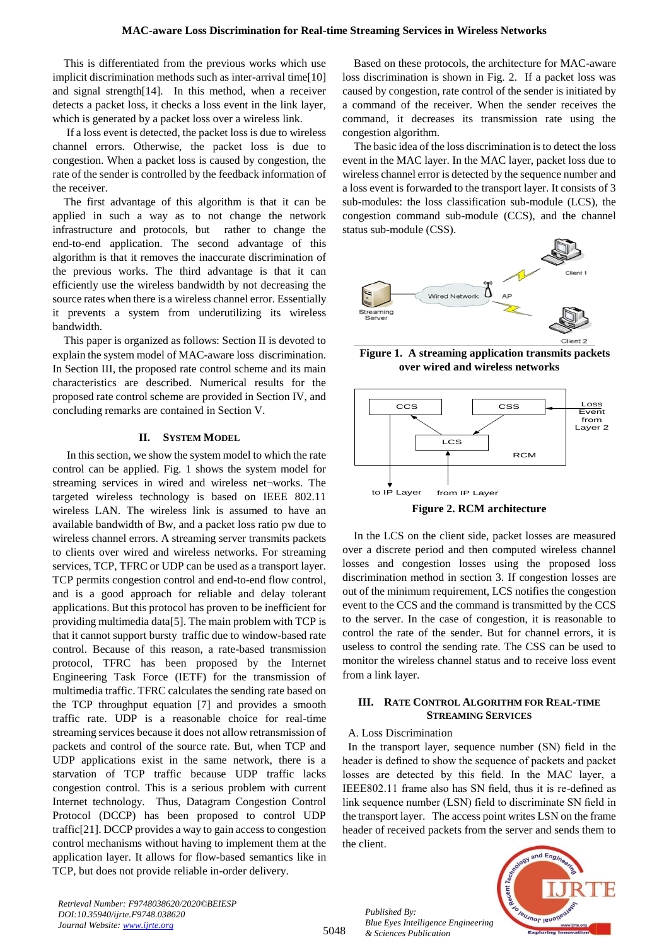This is differentiated from the previous works which use implicit discrimination methods such as inter-arrival time[10] and signal strength[14]. In this method, when a receiver detects a packet loss, it checks a loss event in the link layer, which is generated by a packet loss over a wireless link.

If a loss event is detected, the packet loss is due to wireless channel errors. Otherwise, the packet loss is due to congestion. When a packet loss is caused by congestion, the rate of the sender is controlled by the feedback information of the receiver.

The first advantage of this algorithm is that it can be applied in such a way as to not change the network infrastructure and protocols, but rather to change the end-to-end application. The second advantage of this algorithm is that it removes the inaccurate discrimination of the previous works. The third advantage is that it can efficiently use the wireless bandwidth by not decreasing the source rates when there is a wireless channel error. Essentially it prevents a system from underutilizing its wireless bandwidth.

This paper is organized as follows: Section II is devoted to explain the system model of MAC-aware loss discrimination. In Section III, the proposed rate control scheme and its main characteristics are described. Numerical results for the proposed rate control scheme are provided in Section IV, and concluding remarks are contained in Section V.

## **II. SYSTEM MODEL**

In this section, we show the system model to which the rate control can be applied. Fig. 1 shows the system model for streaming services in wired and wireless net¬works. The targeted wireless technology is based on IEEE 802.11 wireless LAN. The wireless link is assumed to have an available bandwidth of Bw, and a packet loss ratio pw due to wireless channel errors. A streaming server transmits packets to clients over wired and wireless networks. For streaming services, TCP, TFRC or UDP can be used as a transport layer. TCP permits congestion control and end-to-end flow control, and is a good approach for reliable and delay tolerant applications. But this protocol has proven to be inefficient for providing multimedia data[5]. The main problem with TCP is that it cannot support bursty traffic due to window-based rate control. Because of this reason, a rate-based transmission protocol, TFRC has been proposed by the Internet Engineering Task Force (IETF) for the transmission of multimedia traffic. TFRC calculates the sending rate based on the TCP throughput equation [7] and provides a smooth traffic rate. UDP is a reasonable choice for real-time streaming services because it does not allow retransmission of packets and control of the source rate. But, when TCP and UDP applications exist in the same network, there is a starvation of TCP traffic because UDP traffic lacks congestion control. This is a serious problem with current Internet technology. Thus, Datagram Congestion Control Protocol (DCCP) has been proposed to control UDP traffic[21]. DCCP provides a way to gain access to congestion control mechanisms without having to implement them at the application layer. It allows for flow-based semantics like in TCP, but does not provide reliable in-order delivery.

Based on these protocols, the architecture for MAC-aware loss discrimination is shown in Fig. 2. If a packet loss was caused by congestion, rate control of the sender is initiated by a command of the receiver. When the sender receives the command, it decreases its transmission rate using the congestion algorithm.

The basic idea of the loss discrimination is to detect the loss event in the MAC layer. In the MAC layer, packet loss due to wireless channel error is detected by the sequence number and a loss event is forwarded to the transport layer. It consists of 3 sub-modules: the loss classification sub-module (LCS), the congestion command sub-module (CCS), and the channel status sub-module (CSS).



**Figure 1. A streaming application transmits packets over wired and wireless networks**



**Figure 2. RCM architecture**

In the LCS on the client side, packet losses are measured over a discrete period and then computed wireless channel losses and congestion losses using the proposed loss discrimination method in section 3. If congestion losses are out of the minimum requirement, LCS notifies the congestion event to the CCS and the command is transmitted by the CCS to the server. In the case of congestion, it is reasonable to control the rate of the sender. But for channel errors, it is useless to control the sending rate. The CSS can be used to monitor the wireless channel status and to receive loss event from a link layer.

## **III. RATE CONTROL ALGORITHM FOR REAL-TIME STREAMING SERVICES**

#### A. Loss Discrimination

In the transport layer, sequence number (SN) field in the header is defined to show the sequence of packets and packet losses are detected by this field. In the MAC layer, a IEEE802.11 frame also has SN field, thus it is re-defined as link sequence number (LSN) field to discriminate SN field in the transport layer. The access point writes LSN on the frame header of received packets from the server and sends them to the client.



*Retrieval Number: F9748038620/2020©BEIESP DOI:10.35940/ijrte.F9748.038620 Journal Website: www.ijrte.org*

5048

*Published By: Blue Eyes Intelligence Engineering & Sciences Publication*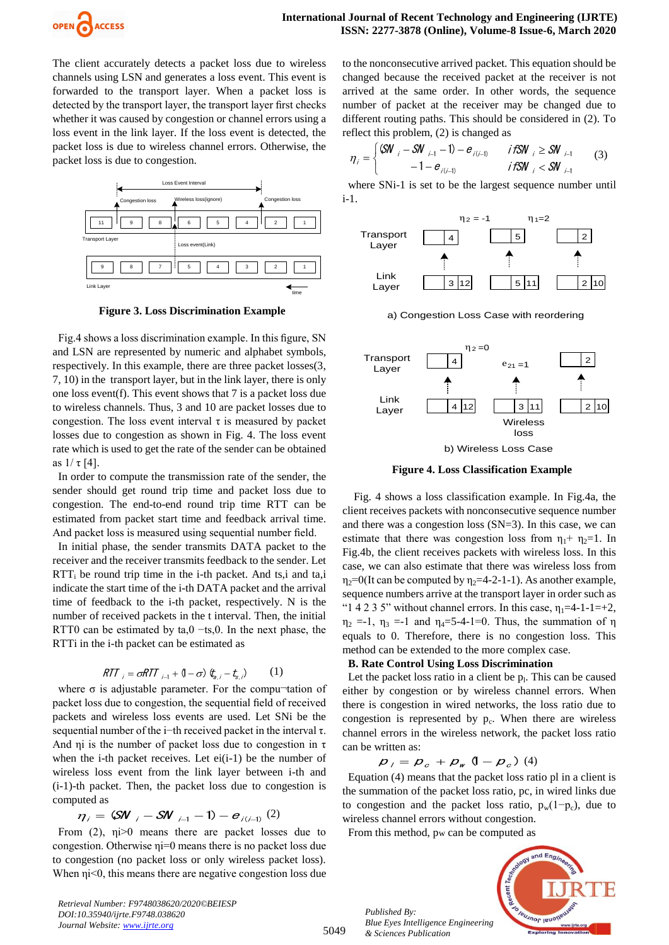

The client accurately detects a packet loss due to wireless channels using LSN and generates a loss event. This event is forwarded to the transport layer. When a packet loss is detected by the transport layer, the transport layer first checks whether it was caused by congestion or channel errors using a loss event in the link layer. If the loss event is detected, the packet loss is due to wireless channel errors. Otherwise, the packet loss is due to congestion.



**Figure 3. Loss Discrimination Example**

Fig.4 shows a loss discrimination example. In this figure, SN and LSN are represented by numeric and alphabet symbols, respectively. In this example, there are three packet losses(3, 7, 10) in the transport layer, but in the link layer, there is only one loss event(f). This event shows that 7 is a packet loss due to wireless channels. Thus, 3 and 10 are packet losses due to congestion. The loss event interval  $\tau$  is measured by packet losses due to congestion as shown in Fig. 4. The loss event rate which is used to get the rate of the sender can be obtained as  $1/τ [4]$ .

In order to compute the transmission rate of the sender, the sender should get round trip time and packet loss due to congestion. The end-to-end round trip time RTT can be estimated from packet start time and feedback arrival time. And packet loss is measured using sequential number field.

In initial phase, the sender transmits DATA packet to the receiver and the receiver transmits feedback to the sender. Let  $RTT_i$  be round trip time in the i-th packet. And ts,i and ta,i indicate the start time of the i-th DATA packet and the arrival time of feedback to the i-th packet, respectively. N is the number of received packets in the t interval. Then, the initial RTT0 can be estimated by ta,0 −ts,0. In the next phase, the RTTi in the i-th packet can be estimated as

$$
RTT_{i} = \sigma RTT_{i-1} + (1 - \sigma) \, \, \xi_{a,i} - \xi_{s,i}) \tag{1}
$$

where  $\sigma$  is adjustable parameter. For the compu-tation of packet loss due to congestion, the sequential field of received packets and wireless loss events are used. Let SNi be the sequential number of the i−th received packet in the interval τ. And  $\eta$ i is the number of packet loss due to congestion in  $\tau$ when the i-th packet receives. Let ei(i-1) be the number of wireless loss event from the link layer between i-th and (i-1)-th packet. Then, the packet loss due to congestion is computed as

$$
\eta_i = (\mathsf{SW}_{i} - \mathsf{SW}_{i-1} - 1) - e_{i(i-1)}(2)
$$

From (2), ηi>0 means there are packet losses due to congestion. Otherwise ηi=0 means there is no packet loss due to congestion (no packet loss or only wireless packet loss). When  $\eta$ *i*<0, this means there are negative congestion loss due

*Retrieval Number: F9748038620/2020©BEIESP DOI:10.35940/ijrte.F9748.038620 Journal Website: www.ijrte.org*

to the nonconsecutive arrived packet. This equation should be changed because the received packet at the receiver is not arrived at the same order. In other words, the sequence number of packet at the receiver may be changed due to different routing paths. This should be considered in (2). To reflect this problem, (2) is changed as

$$
\eta_{i} = \begin{cases} \mathsf{G}\mathsf{W}_{i} - \mathsf{S}\mathsf{W}_{i-1} - 1 - e_{i(i-1)} & \text{if } \mathsf{S}\mathsf{W}_{i} \geq \mathsf{S}\mathsf{W}_{i-1} \\ -1 - e_{i(i-1)} & \text{if } \mathsf{S}\mathsf{W}_{i} < \mathsf{S}\mathsf{W}_{i-1} \end{cases} \tag{3}
$$

where SNi-1 is set to be the largest sequence number until i-1.





**Figure 4. Loss Classification Example**

 Fig. 4 shows a loss classification example. In Fig.4a, the client receives packets with nonconsecutive sequence number and there was a congestion loss (SN=3). In this case, we can estimate that there was congestion loss from  $\eta_1 + \eta_2 = 1$ . In Fig.4b, the client receives packets with wireless loss. In this case, we can also estimate that there was wireless loss from  $\eta_2=0$ (It can be computed by  $\eta_2=4-2-1-1$ ). As another example, sequence numbers arrive at the transport layer in order such as "1 4 2 3 5" without channel errors. In this case,  $\eta_1 = 4-1-1=+2$ ,  $\eta_2 = -1$ ,  $\eta_3 = -1$  and  $\eta_4 = 5 - 4 - 1 = 0$ . Thus, the summation of  $\eta$ equals to 0. Therefore, there is no congestion loss. This method can be extended to the more complex case.

## **B. Rate Control Using Loss Discrimination**

Let the packet loss ratio in a client be  $p_1$ . This can be caused either by congestion or by wireless channel errors. When there is congestion in wired networks, the loss ratio due to congestion is represented by  $p_c$ . When there are wireless channel errors in the wireless network, the packet loss ratio can be written as:

$$
\boldsymbol{p}_{j} = \boldsymbol{p}_{c} + \boldsymbol{p}_{w} (1 - \boldsymbol{p}_{c}) (4)
$$

Equation (4) means that the packet loss ratio pl in a client is the summation of the packet loss ratio, pc, in wired links due to congestion and the packet loss ratio,  $p_w(1-p_c)$ , due to wireless channel errors without congestion.

From this method, pw can be computed as



*Published By: Blue Eyes Intelligence Engineering & Sciences Publication* 

5049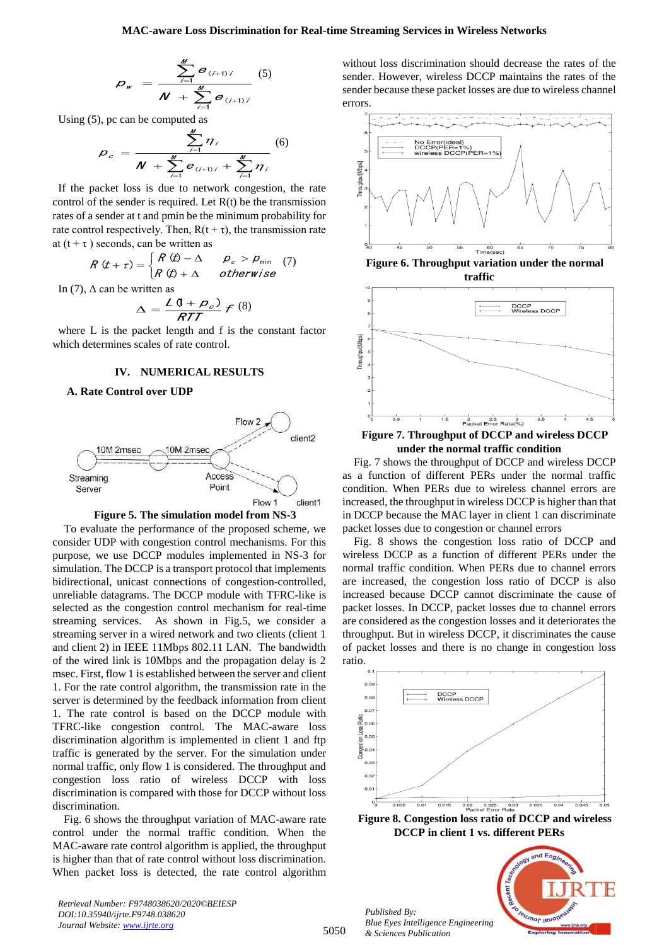$$
D_{w} = \frac{\sum_{i=1}^{M} e_{(i+1)i}}{N + \sum_{i=1}^{M} e_{(i+1)i}} \tag{5}
$$

Using (5), pc can be computed as

$$
p_{c} = \frac{\sum_{i=1}^{M} \eta_{i}}{N + \sum_{i=1}^{M} e_{(i+1)i} + \sum_{i=1}^{M} \eta_{i}} \tag{6}
$$

M

If the packet loss is due to network congestion, the rate control of the sender is required. Let  $R(t)$  be the transmission rates of a sender at t and pmin be the minimum probability for rate control respectively. Then,  $R(t + \tau)$ , the transmission rate at  $(t + \tau)$  seconds, can be written as

$$
R(t+\tau) = \begin{cases} R(t) - \Delta & \rho_c > \rho_{\min} \\ R(t) + \Delta & otherwise \end{cases}
$$
 (7)

In (7),  $\Delta$  can be written as

$$
\Delta = \frac{\mathcal{L}(1+\rho_c)}{RTT} \mathcal{F}^{(8)}
$$

where L is the packet length and f is the constant factor which determines scales of rate control.

#### **IV. NUMERICAL RESULTS**

## **A. Rate Control over UDP**





**Example 1**  $\frac{1}{\sqrt{2}}$  **C**  $\frac{1}{\sqrt{2}}$  **C**  $\frac{1}{\sqrt{2}}$  **C**  $\frac{1}{\sqrt{2}}$  **C**  $\frac{1}{\sqrt{2}}$  **C**  $\frac{1}{\sqrt{2}}$  **C**  $\frac{1}{\sqrt{2}}$  **C**  $\frac{1}{\sqrt{2}}$  **C**  $\frac{1}{\sqrt{2}}$  **C**  $\frac{1}{\sqrt{2}}$  **C**  $\frac{1}{\sqrt{2}}$  **C**  $\frac{1}{\sqrt{2}}$  **C**  $\frac{1$ To evaluate the performance of the proposed scheme, we consider UDP with congestion control mechanisms. For this purpose, we use DCCP modules implemented in NS-3 for simulation. The DCCP is a transport protocol that implements bidirectional, unicast connections of congestion-controlled, unreliable datagrams. The DCCP module with TFRC-like is selected as the congestion control mechanism for real-time streaming services. As shown in Fig.5, we consider a streaming server in a wired network and two clients (client 1 and client 2) in IEEE 11Mbps 802.11 LAN. The bandwidth of the wired link is 10Mbps and the propagation delay is 2 msec. First, flow 1 is established between the server and client 1. For the rate control algorithm, the transmission rate in the server is determined by the feedback information from client 1. The rate control is based on the DCCP module with TFRC-like congestion control. The MAC-aware loss discrimination algorithm is implemented in client 1 and ftp traffic is generated by the server. For the simulation under normal traffic, only flow 1 is considered. The throughput and congestion loss ratio of wireless DCCP with loss discrimination is compared with those for DCCP without loss discrimination.

Fig. 6 shows the throughput variation of MAC-aware rate control under the normal traffic condition. When the MAC-aware rate control algorithm is applied, the throughput is higher than that of rate control without loss discrimination. When packet loss is detected, the rate control algorithm

*Retrieval Number: F9748038620/2020©BEIESP DOI:10.35940/ijrte.F9748.038620 Journal Website: www.ijrte.org*

without loss discrimination should decrease the rates of the sender. However, wireless DCCP maintains the rates of the sender because these packet losses are due to wireless channel errors.







**Figure 7. Throughput of DCCP and wireless DCCP under the normal traffic condition**

Fig. 7 shows the throughput of DCCP and wireless DCCP as a function of different PERs under the normal traffic condition. When PERs due to wireless channel errors are increased, the throughput in wireless DCCP is higher than that in DCCP because the MAC layer in client 1 can discriminate packet losses due to congestion or channel errors

Fig. 8 shows the congestion loss ratio of DCCP and wireless DCCP as a function of different PERs under the normal traffic condition. When PERs due to channel errors are increased, the congestion loss ratio of DCCP is also increased because DCCP cannot discriminate the cause of packet losses. In DCCP, packet losses due to channel errors are considered as the congestion losses and it deteriorates the throughput. But in wireless DCCP, it discriminates the cause of packet losses and there is no change in congestion loss ratio.



**Figure 8. Congestion loss ratio of DCCP and wireless DCCP in client 1 vs. different PERs**

*Published By: Blue Eyes Intelligence Engineering* 



5050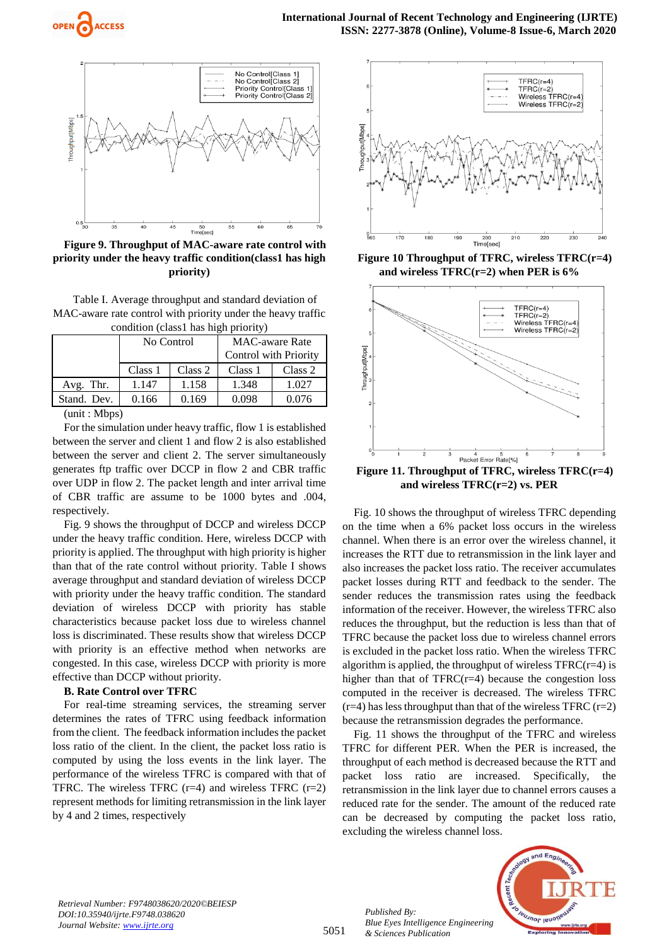



**Figure 9. Throughput of MAC-aware rate control with priority under the heavy traffic condition(class1 has high priority)**

Table I. Average throughput and standard deviation of MAC-aware rate control with priority under the heavy traffic condition (class1 has high priority)

| condition (class) has light priority) |            |         |                       |         |
|---------------------------------------|------------|---------|-----------------------|---------|
|                                       | No Control |         | <b>MAC-aware Rate</b> |         |
|                                       |            |         | Control with Priority |         |
|                                       | Class 1    | Class 2 | Class 1               | Class 2 |
| Avg. Thr.                             | 1.147      | 1.158   | 1.348                 | 1.027   |
| Stand. Dev.                           | 0.166      | 0.169   | 0.098                 | 0.076   |
| $(mnt \cdot Mhnc)$                    |            |         |                       |         |

(unit : Mbps)

For the simulation under heavy traffic, flow 1 is established between the server and client 1 and flow 2 is also established between the server and client 2. The server simultaneously generates ftp traffic over DCCP in flow 2 and CBR traffic over UDP in flow 2. The packet length and inter arrival time of CBR traffic are assume to be 1000 bytes and .004, respectively.

Fig. 9 shows the throughput of DCCP and wireless DCCP under the heavy traffic condition. Here, wireless DCCP with priority is applied. The throughput with high priority is higher than that of the rate control without priority. Table I shows average throughput and standard deviation of wireless DCCP with priority under the heavy traffic condition. The standard deviation of wireless DCCP with priority has stable characteristics because packet loss due to wireless channel loss is discriminated. These results show that wireless DCCP with priority is an effective method when networks are congested. In this case, wireless DCCP with priority is more effective than DCCP without priority.

### **B. Rate Control over TFRC**

For real-time streaming services, the streaming server determines the rates of TFRC using feedback information from the client. The feedback information includes the packet loss ratio of the client. In the client, the packet loss ratio is computed by using the loss events in the link layer. The performance of the wireless TFRC is compared with that of TFRC. The wireless TFRC  $(r=4)$  and wireless TFRC  $(r=2)$ represent methods for limiting retransmission in the link layer by 4 and 2 times, respectively



**Figure 10 Throughput of TFRC, wireless TFRC(r=4) and wireless TFRC(r=2) when PER is 6%**



**and wireless TFRC(r=2) vs. PER** Fig. 10 shows the throughput of wireless TFRC depending on the time when a 6% packet loss occurs in the wireless channel. When there is an error over the wireless channel, it increases the RTT due to retransmission in the link layer and also increases the packet loss ratio. The receiver accumulates packet losses during RTT and feedback to the sender. The sender reduces the transmission rates using the feedback information of the receiver. However, the wireless TFRC also reduces the throughput, but the reduction is less than that of TFRC because the packet loss due to wireless channel errors is excluded in the packet loss ratio. When the wireless TFRC algorithm is applied, the throughput of wireless  $TFRC(r=4)$  is higher than that of  $TFRC(r=4)$  because the congestion loss computed in the receiver is decreased. The wireless TFRC  $(r=4)$  has less throughput than that of the wireless TFRC  $(r=2)$ 

because the retransmission degrades the performance. Fig. 11 shows the throughput of the TFRC and wireless TFRC for different PER. When the PER is increased, the throughput of each method is decreased because the RTT and packet loss ratio are increased. Specifically, the retransmission in the link layer due to channel errors causes a reduced rate for the sender. The amount of the reduced rate can be decreased by computing the packet loss ratio, excluding the wireless channel loss.

*Retrieval Number: F9748038620/2020©BEIESP DOI:10.35940/ijrte.F9748.038620 Journal Website: www.ijrte.org*

*Published By: Blue Eyes Intelligence Engineering & Sciences Publication* 



5051